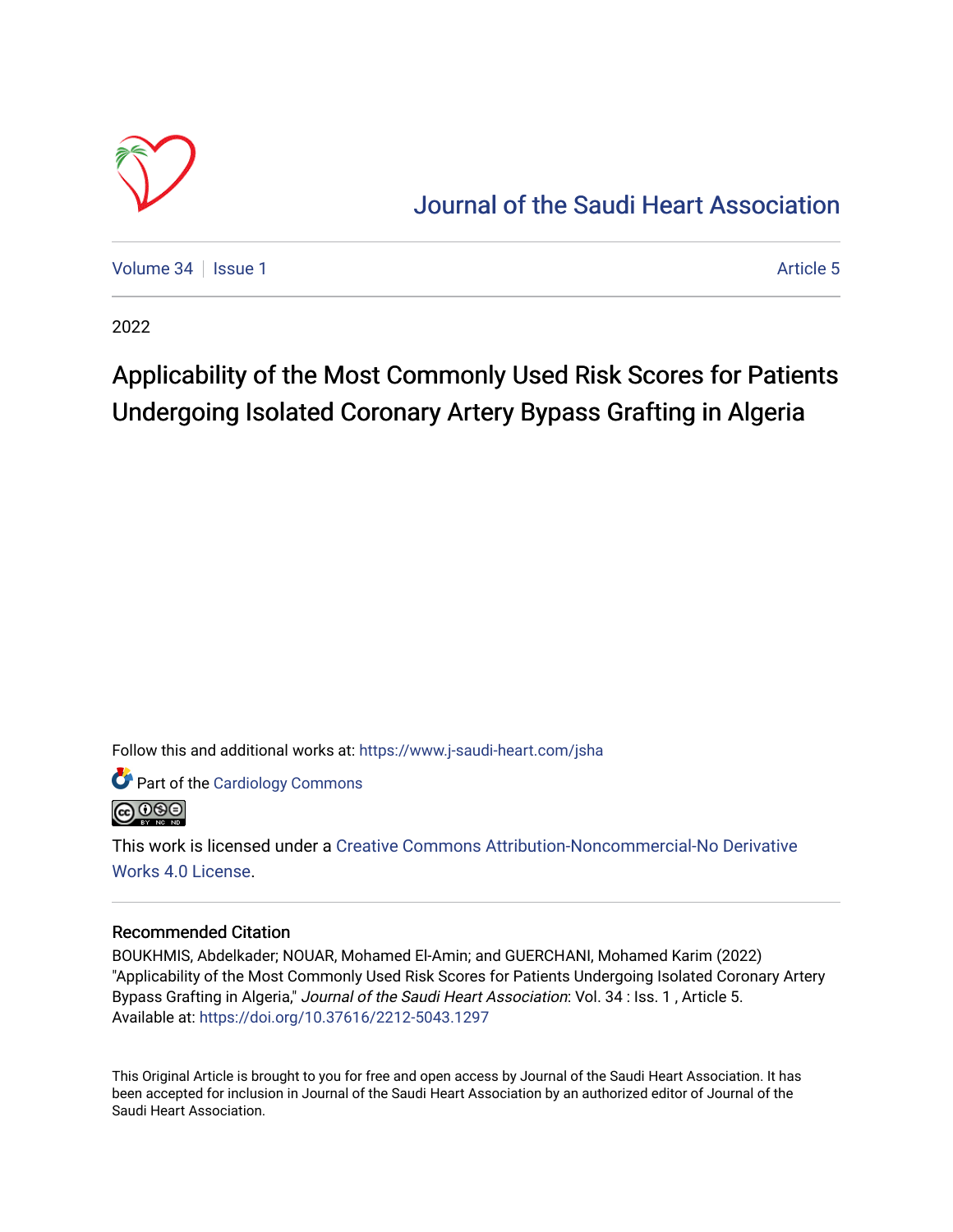

## [Journal of the Saudi Heart Association](https://www.j-saudi-heart.com/jsha)

[Volume 34](https://www.j-saudi-heart.com/jsha/vol34) | [Issue 1](https://www.j-saudi-heart.com/jsha/vol34/iss1) Article 5

2022

## Applicability of the Most Commonly Used Risk Scores for Patients Undergoing Isolated Coronary Artery Bypass Grafting in Algeria

Follow this and additional works at: [https://www.j-saudi-heart.com/jsha](https://www.j-saudi-heart.com/jsha?utm_source=www.j-saudi-heart.com%2Fjsha%2Fvol34%2Fiss1%2F5&utm_medium=PDF&utm_campaign=PDFCoverPages) 

Part of the [Cardiology Commons](http://network.bepress.com/hgg/discipline/683?utm_source=www.j-saudi-heart.com%2Fjsha%2Fvol34%2Fiss1%2F5&utm_medium=PDF&utm_campaign=PDFCoverPages)



This work is licensed under a [Creative Commons Attribution-Noncommercial-No Derivative](http://creativecommons.org/licenses/by-nc-nd/4.0/)  [Works 4.0 License](http://creativecommons.org/licenses/by-nc-nd/4.0/).

## Recommended Citation

BOUKHMIS, Abdelkader; NOUAR, Mohamed El-Amin; and GUERCHANI, Mohamed Karim (2022) "Applicability of the Most Commonly Used Risk Scores for Patients Undergoing Isolated Coronary Artery Bypass Grafting in Algeria," Journal of the Saudi Heart Association: Vol. 34 : Iss. 1 , Article 5. Available at:<https://doi.org/10.37616/2212-5043.1297>

This Original Article is brought to you for free and open access by Journal of the Saudi Heart Association. It has been accepted for inclusion in Journal of the Saudi Heart Association by an authorized editor of Journal of the Saudi Heart Association.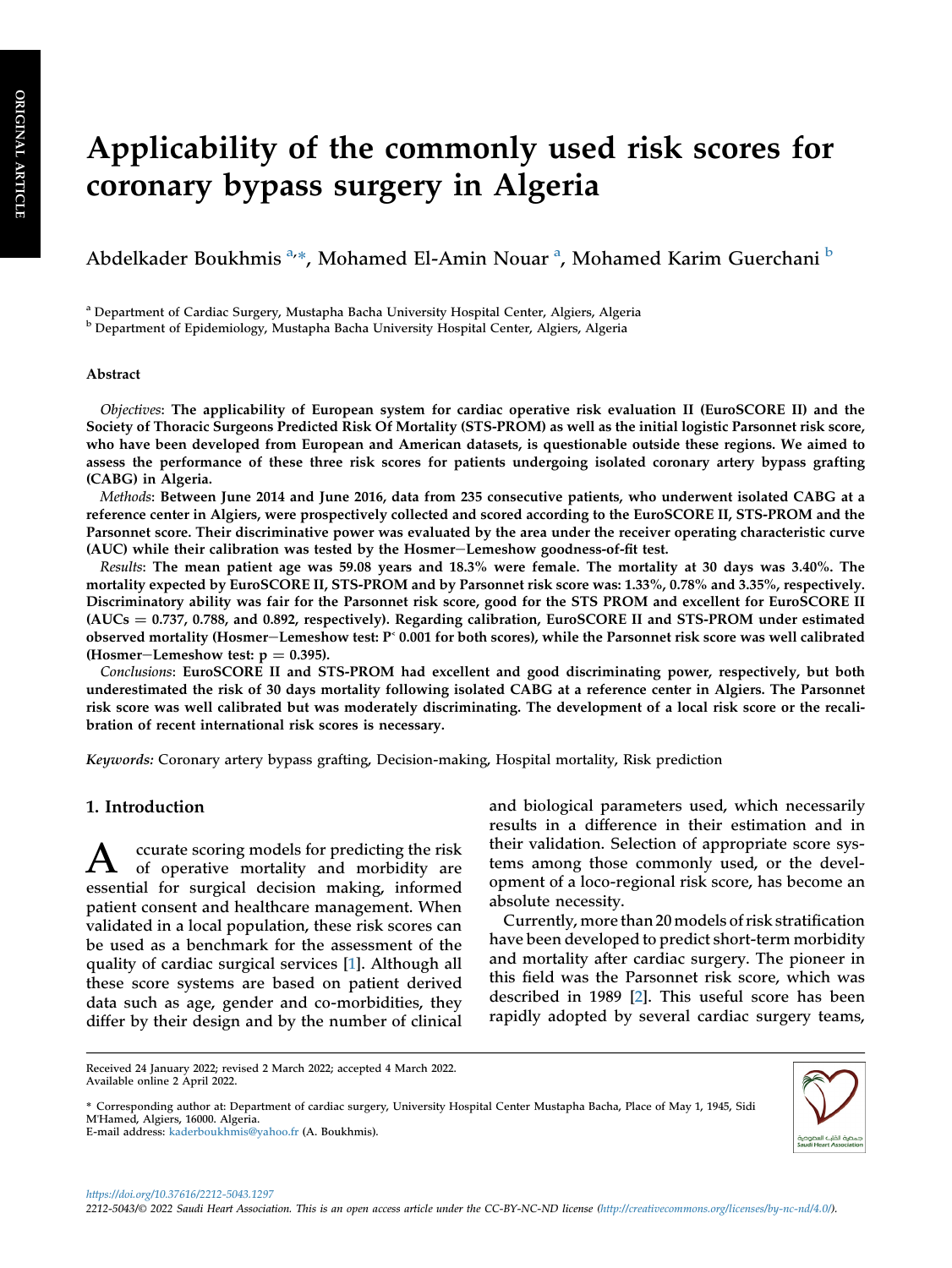# Applicability of the commonly used risk scores for coronary bypass surgery in Algeria

Abdelkader Boukhmis <sup>[a,](#page-1-0)</sup>\*, Moh[a](#page-1-0)med El-Amin Nouar <sup>a</sup>, Mohamed Karim Guerchani <sup>[b](#page-1-1)</sup>

<span id="page-1-0"></span><sup>a</sup> Department of Cardiac Surgery, Mustapha Bacha University Hospital Center, Algiers, Algeria

<span id="page-1-1"></span><sup>b</sup> Department of Epidemiology, Mustapha Bacha University Hospital Center, Algiers, Algeria

#### Abstract

Objectives: The applicability of European system for cardiac operative risk evaluation II (EuroSCORE II) and the Society of Thoracic Surgeons Predicted Risk Of Mortality (STS-PROM) as well as the initial logistic Parsonnet risk score, who have been developed from European and American datasets, is questionable outside these regions. We aimed to assess the performance of these three risk scores for patients undergoing isolated coronary artery bypass grafting (CABG) in Algeria.

Methods: Between June 2014 and June 2016, data from 235 consecutive patients, who underwent isolated CABG at a reference center in Algiers, were prospectively collected and scored according to the EuroSCORE II, STS-PROM and the Parsonnet score. Their discriminative power was evaluated by the area under the receiver operating characteristic curve (AUC) while their calibration was tested by the Hosmer-Lemeshow goodness-of-fit test.

Results: The mean patient age was 59.08 years and 18.3% were female. The mortality at 30 days was 3.40%. The mortality expected by EuroSCORE II, STS-PROM and by Parsonnet risk score was: 1.33%, 0.78% and 3.35%, respectively. Discriminatory ability was fair for the Parsonnet risk score, good for the STS PROM and excellent for EuroSCORE II  $(AUCs = 0.737, 0.788,$  and 0.892, respectively). Regarding calibration, EuroSCORE II and STS-PROM under estimated observed mortality (Hosmer-Lemeshow test:  $P^{\text{c}}$  0.001 for both scores), while the Parsonnet risk score was well calibrated (Hosmer–Lemeshow test:  $p = 0.395$ ).

Conclusions: EuroSCORE II and STS-PROM had excellent and good discriminating power, respectively, but both underestimated the risk of 30 days mortality following isolated CABG at a reference center in Algiers. The Parsonnet risk score was well calibrated but was moderately discriminating. The development of a local risk score or the recalibration of recent international risk scores is necessary.

Keywords: Coronary artery bypass grafting, Decision-making, Hospital mortality, Risk prediction

## 1. Introduction

A ccurate scoring models for predicting the risk<br>of operative mortality and morbidity are essential for surgical decision making, informed patient consent and healthcare management. When validated in a local population, these risk scores can be used as a benchmark for the assessment of the quality of cardiac surgical services [[1\]](#page-7-0). Although all these score systems are based on patient derived data such as age, gender and co-morbidities, they differ by their design and by the number of clinical

and biological parameters used, which necessarily results in a difference in their estimation and in their validation. Selection of appropriate score systems among those commonly used, or the development of a loco-regional risk score, has become an absolute necessity.

Currently, more than 20 models of risk stratification have been developed to predict short-term morbidity and mortality after cardiac surgery. The pioneer in this field was the Parsonnet risk score, which was described in 1989 [\[2](#page-7-1)]. This useful score has been rapidly adopted by several cardiac surgery teams,

\* Corresponding author at: Department of cardiac surgery, University Hospital Center Mustapha Bacha, Place of May 1, 1945, Sidi M'Hamed, Algiers, 16000. Algeria.



Received 24 January 2022; revised 2 March 2022; accepted 4 March 2022. Available online 2 April 2022.

E-mail address: [kaderboukhmis@yahoo.fr](mailto:kaderboukhmis@yahoo.fr) (A. Boukhmis).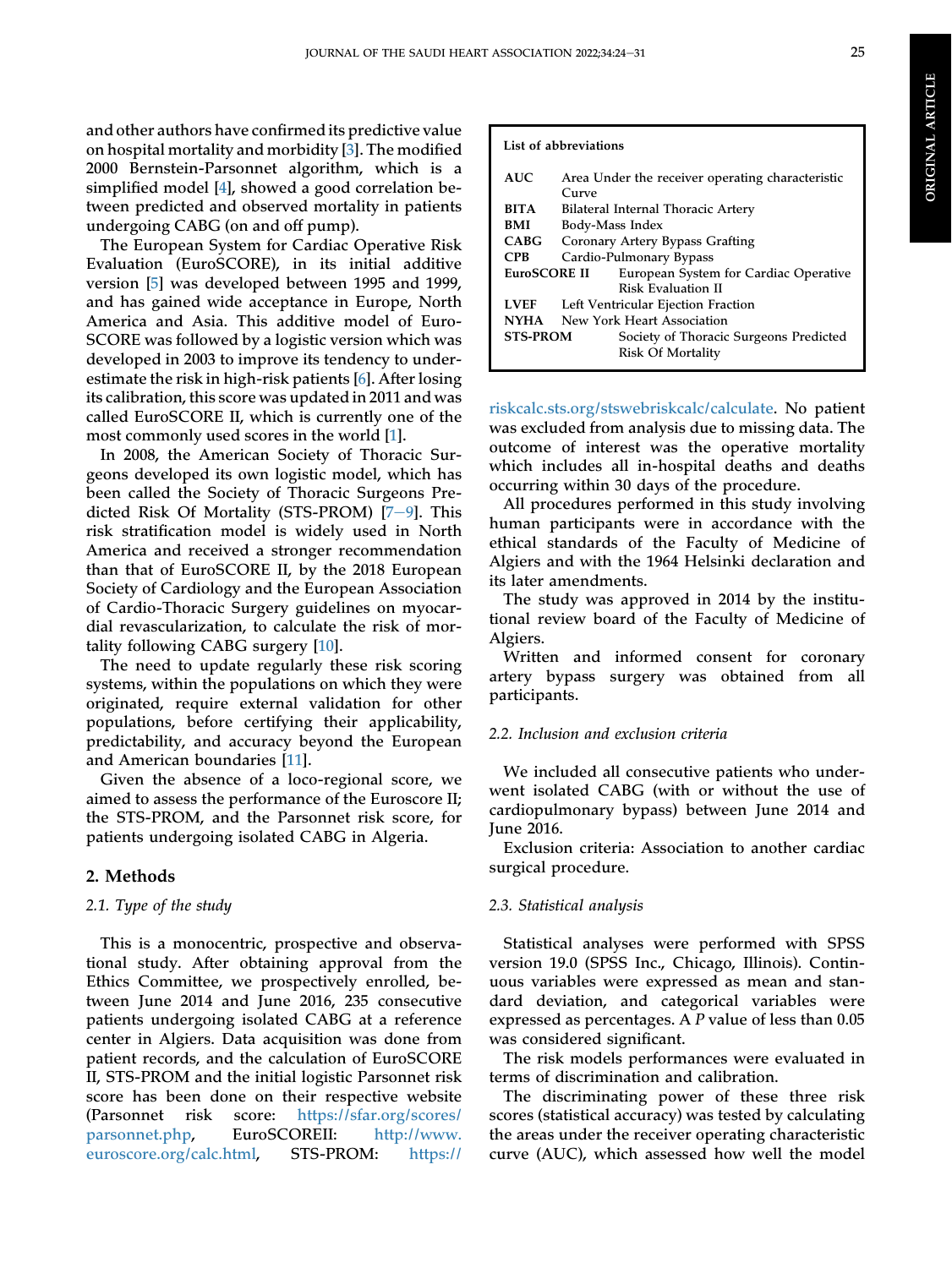and other authors have confirmed its predictive value on hospital mortality and morbidity [[3\]](#page-7-2). The modified 2000 Bernstein-Parsonnet algorithm, which is a simplified model [\[4](#page-7-3)], showed a good correlation between predicted and observed mortality in patients undergoing CABG (on and off pump).

The European System for Cardiac Operative Risk Evaluation (EuroSCORE), in its initial additive version [\[5](#page-7-4)] was developed between 1995 and 1999, and has gained wide acceptance in Europe, North America and Asia. This additive model of Euro-SCORE was followed by a logistic version which was developed in 2003 to improve its tendency to underestimate the risk in high-risk patients [\[6](#page-7-5)]. After losing its calibration, this score was updated in 2011 and was called EuroSCORE II, which is currently one of the most commonly used scores in the world [[1\]](#page-7-0).

In 2008, the American Society of Thoracic Surgeons developed its own logistic model, which has been called the Society of Thoracic Surgeons Predicted Risk Of Mortality (STS-PROM)  $[7-9]$  $[7-9]$  $[7-9]$ . This risk stratification model is widely used in North America and received a stronger recommendation than that of EuroSCORE II, by the 2018 European Society of Cardiology and the European Association of Cardio-Thoracic Surgery guidelines on myocardial revascularization, to calculate the risk of mortality following CABG surgery [\[10](#page-7-7)].

The need to update regularly these risk scoring systems, within the populations on which they were originated, require external validation for other populations, before certifying their applicability, predictability, and accuracy beyond the European and American boundaries [\[11](#page-7-8)].

Given the absence of a loco-regional score, we aimed to assess the performance of the Euroscore II; the STS-PROM, and the Parsonnet risk score, for patients undergoing isolated CABG in Algeria.

## 2. Methods

### 2.1. Type of the study

This is a monocentric, prospective and observational study. After obtaining approval from the Ethics Committee, we prospectively enrolled, between June 2014 and June 2016, 235 consecutive patients undergoing isolated CABG at a reference center in Algiers. Data acquisition was done from patient records, and the calculation of EuroSCORE II, STS-PROM and the initial logistic Parsonnet risk score has been done on their respective website (Parsonnet risk score: [https://sfar.org/scores/](https://sfar.org/scores/parsonnet.php) [parsonnet.php,](https://sfar.org/scores/parsonnet.php) EuroSCOREII: [http://www.](http://www.euroscore.org/calc.html) [euroscore.org/calc.html](http://www.euroscore.org/calc.html), STS-PROM: [https://](https://riskcalc.sts.org/stswebriskcalc/calculate)

## List of abbreviations

| AUC.            | Area Under the receiver operating characteristic |                                        |  |  |  |
|-----------------|--------------------------------------------------|----------------------------------------|--|--|--|
|                 | <b>Curve</b>                                     |                                        |  |  |  |
| <b>BITA</b>     | Bilateral Internal Thoracic Artery               |                                        |  |  |  |
| BMI             | Body-Mass Index                                  |                                        |  |  |  |
| <b>CABG</b>     | Coronary Artery Bypass Grafting                  |                                        |  |  |  |
| <b>CPB</b>      | Cardio-Pulmonary Bypass                          |                                        |  |  |  |
| EuroSCORE II    |                                                  | European System for Cardiac Operative  |  |  |  |
|                 |                                                  | Risk Evaluation II                     |  |  |  |
| <b>LVEF</b>     | Left Ventricular Ejection Fraction               |                                        |  |  |  |
| <b>NYHA</b>     | New York Heart Association                       |                                        |  |  |  |
| <b>STS-PROM</b> |                                                  | Society of Thoracic Surgeons Predicted |  |  |  |
|                 |                                                  | <b>Risk Of Mortality</b>               |  |  |  |
|                 |                                                  |                                        |  |  |  |

[riskcalc.sts.org/stswebriskcalc/calculate](https://riskcalc.sts.org/stswebriskcalc/calculate). No patient was excluded from analysis due to missing data. The outcome of interest was the operative mortality which includes all in-hospital deaths and deaths occurring within 30 days of the procedure.

All procedures performed in this study involving human participants were in accordance with the ethical standards of the Faculty of Medicine of Algiers and with the 1964 Helsinki declaration and its later amendments.

The study was approved in 2014 by the institutional review board of the Faculty of Medicine of Algiers.

Written and informed consent for coronary artery bypass surgery was obtained from all participants.

#### 2.2. Inclusion and exclusion criteria

We included all consecutive patients who underwent isolated CABG (with or without the use of cardiopulmonary bypass) between June 2014 and June 2016.

Exclusion criteria: Association to another cardiac surgical procedure.

### 2.3. Statistical analysis

Statistical analyses were performed with SPSS version 19.0 (SPSS Inc., Chicago, Illinois). Continuous variables were expressed as mean and standard deviation, and categorical variables were expressed as percentages. A P value of less than 0.05 was considered significant.

The risk models performances were evaluated in terms of discrimination and calibration.

The discriminating power of these three risk scores (statistical accuracy) was tested by calculating the areas under the receiver operating characteristic curve (AUC), which assessed how well the model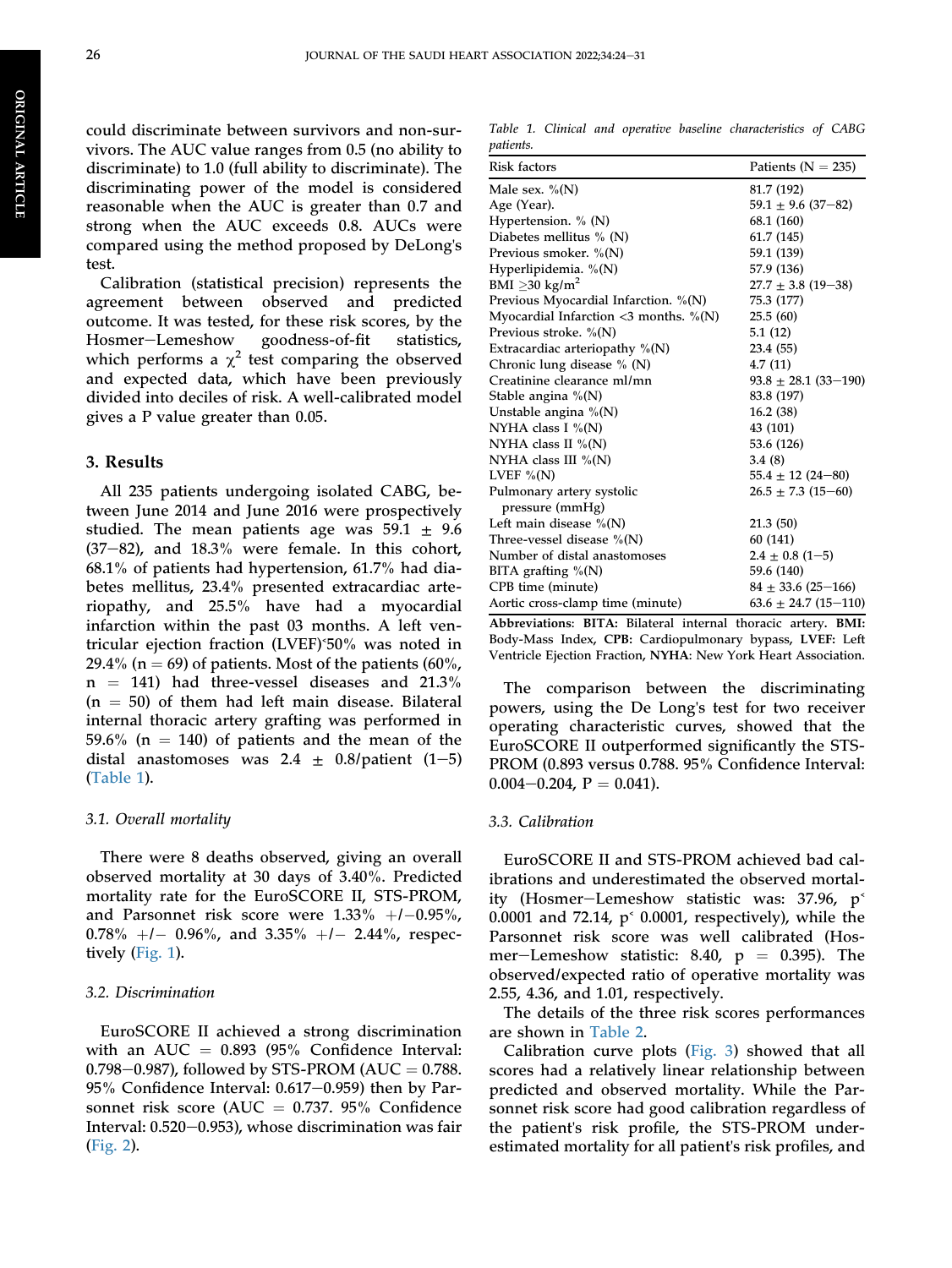ORIGINAL

**ORIGINAL ARTICLE** 

ARTICLE

could discriminate between survivors and non-survivors. The AUC value ranges from 0.5 (no ability to discriminate) to 1.0 (full ability to discriminate). The discriminating power of the model is considered reasonable when the AUC is greater than 0.7 and strong when the AUC exceeds 0.8. AUCs were compared using the method proposed by DeLong's test.

Calibration (statistical precision) represents the agreement between observed and predicted outcome. It was tested, for these risk scores, by the Hosmer-Lemeshow goodness-of-fit statistics, which performs a  $\chi^2$  test comparing the observed and expected data, which have been previously divided into deciles of risk. A well-calibrated model gives a P value greater than 0.05.

## 3. Results

All 235 patients undergoing isolated CABG, between June 2014 and June 2016 were prospectively studied. The mean patients age was  $59.1 \pm 9.6$  $(37-82)$ , and  $18.3\%$  were female. In this cohort, 68.1% of patients had hypertension, 61.7% had diabetes mellitus, 23.4% presented extracardiac arteriopathy, and 25.5% have had a myocardial infarction within the past 03 months. A left ventricular ejection fraction (LVEF)˂50% was noted in 29.4% (n = 69) of patients. Most of the patients (60%,  $n = 141$ ) had three-vessel diseases and 21.3%  $(n = 50)$  of them had left main disease. Bilateral internal thoracic artery grafting was performed in 59.6% ( $n = 140$ ) of patients and the mean of the distal anastomoses was 2.4  $\pm$  0.8/patient (1-5) [\(Table 1\)](#page-3-0).

## 3.1. Overall mortality

There were 8 deaths observed, giving an overall observed mortality at 30 days of 3.40%. Predicted mortality rate for the EuroSCORE II, STS-PROM, and Parsonnet risk score were  $1.33\%$   $+/-0.95\%$ ,  $0.78\%$   $+/ 0.96\%$ , and  $3.35\%$   $+/-$  2.44%, respectively [\(Fig. 1\)](#page-4-0).

#### 3.2. Discrimination

EuroSCORE II achieved a strong discrimination with an AUC  $=$  0.893 (95% Confidence Interval: 0.798–0.987), followed by STS-PROM (AUC =  $0.788$ . 95% Confidence Interval:  $0.617-0.959$ ) then by Parsonnet risk score (AUC  $= 0.737$ . 95% Confidence Interval:  $0.520-0.953$ ), whose discrimination was fair [\(Fig. 2\)](#page-4-1).

<span id="page-3-0"></span>Table 1. Clinical and operative baseline characteristics of CABG patients.

| Risk factors                             | Patients ( $N = 235$ )   |  |  |
|------------------------------------------|--------------------------|--|--|
| Male sex. $\%$ (N)                       | 81.7 (192)               |  |  |
| Age (Year).                              | $59.1 \pm 9.6$ (37-82)   |  |  |
| Hypertension. % (N)                      | 68.1 (160)               |  |  |
| Diabetes mellitus $\%$ (N)               | 61.7 (145)               |  |  |
| Previous smoker. %(N)                    | 59.1 (139)               |  |  |
| Hyperlipidemia. $\%$ (N)                 | 57.9 (136)               |  |  |
| BMI $\geq$ 30 kg/m <sup>2</sup>          | $27.7 \pm 3.8$ (19-38)   |  |  |
| Previous Myocardial Infarction. $\%$ (N) | 75.3 (177)               |  |  |
| Myocardial Infarction $<$ 3 months. %(N) | 25.5(60)                 |  |  |
| Previous stroke. $\%$ (N)                | 5.1(12)                  |  |  |
| Extracardiac arteriopathy $\%$ (N)       | 23.4 (55)                |  |  |
| Chronic lung disease $\%$ (N)            | 4.7(11)                  |  |  |
| Creatinine clearance ml/mn               | $93.8 \pm 28.1$ (33-190) |  |  |
| Stable angina $\%$ (N)                   | 83.8 (197)               |  |  |
| Unstable angina $\%$ (N)                 | 16.2(38)                 |  |  |
| NYHA class I $\%$ (N)                    | 43 (101)                 |  |  |
| NYHA class II $\%$ (N)                   | 53.6 (126)               |  |  |
| NYHA class III $\%$ (N)                  | 3.4(8)                   |  |  |
| LVEF $\%$ (N)                            | $55.4 \pm 12 (24 - 80)$  |  |  |
| Pulmonary artery systolic                | $26.5 \pm 7.3$ (15-60)   |  |  |
| pressure (mmHg)                          |                          |  |  |
| Left main disease $\%$ (N)               | 21.3 (50)                |  |  |
| Three-vessel disease $\%$ (N)            | 60 (141)                 |  |  |
| Number of distal anastomoses             | $2.4 \pm 0.8$ (1-5)      |  |  |
| BITA grafting %(N)                       | 59.6 (140)               |  |  |
| CPB time (minute)                        | $84 \pm 33.6$ (25-166)   |  |  |
| Aortic cross-clamp time (minute)         | $63.6 \pm 24.7$ (15-110) |  |  |

Abbreviations: BITA: Bilateral internal thoracic artery. BMI: Body-Mass Index, CPB: Cardiopulmonary bypass, LVEF: Left Ventricle Ejection Fraction, NYHA: New York Heart Association.

The comparison between the discriminating powers, using the De Long's test for two receiver operating characteristic curves, showed that the EuroSCORE II outperformed significantly the STS-PROM (0.893 versus 0.788. 95% Confidence Interval:  $0.004-0.204$ ,  $P = 0.041$ ).

## 3.3. Calibration

EuroSCORE II and STS-PROM achieved bad calibrations and underestimated the observed mortality (Hosmer-Lemeshow statistic was: 37.96,  $p<sup>2</sup>$ 0.0001 and 72.14,  $p^{\text{c}}$  0.0001, respectively), while the Parsonnet risk score was well calibrated (Hosmer-Lemeshow statistic: 8.40,  $p = 0.395$ ). The observed/expected ratio of operative mortality was 2.55, 4.36, and 1.01, respectively.

The details of the three risk scores performances are shown in [Table 2.](#page-5-0)

Calibration curve plots [\(Fig. 3\)](#page-5-1) showed that all scores had a relatively linear relationship between predicted and observed mortality. While the Parsonnet risk score had good calibration regardless of the patient's risk profile, the STS-PROM underestimated mortality for all patient's risk profiles, and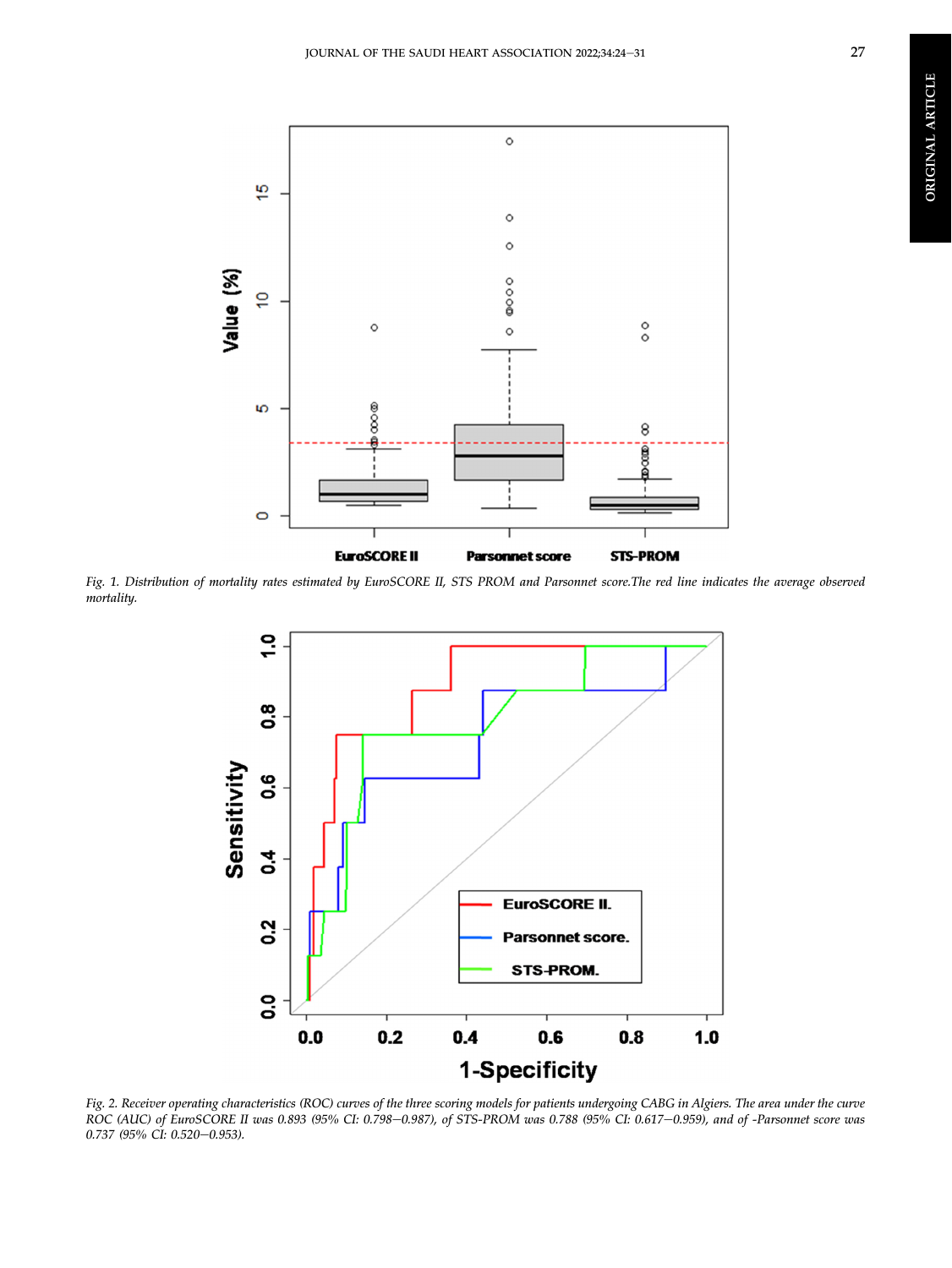<span id="page-4-0"></span>

<span id="page-4-1"></span>Fig. 1. Distribution of mortality rates estimated by EuroSCORE II, STS PROM and Parsonnet score.The red line indicates the average observed mortality.



Fig. 2. Receiver operating characteristics (ROC) curves of the three scoring models for patients undergoing CABG in Algiers. The area under the curve ROC (AUC) of EuroSCORE II was 0.893 (95% CI: 0.798–0.987), of STS-PROM was 0.788 (95% CI: 0.617–0.959), and of -Parsonnet score was  $0.737$  (95% CI: 0.520-0.953).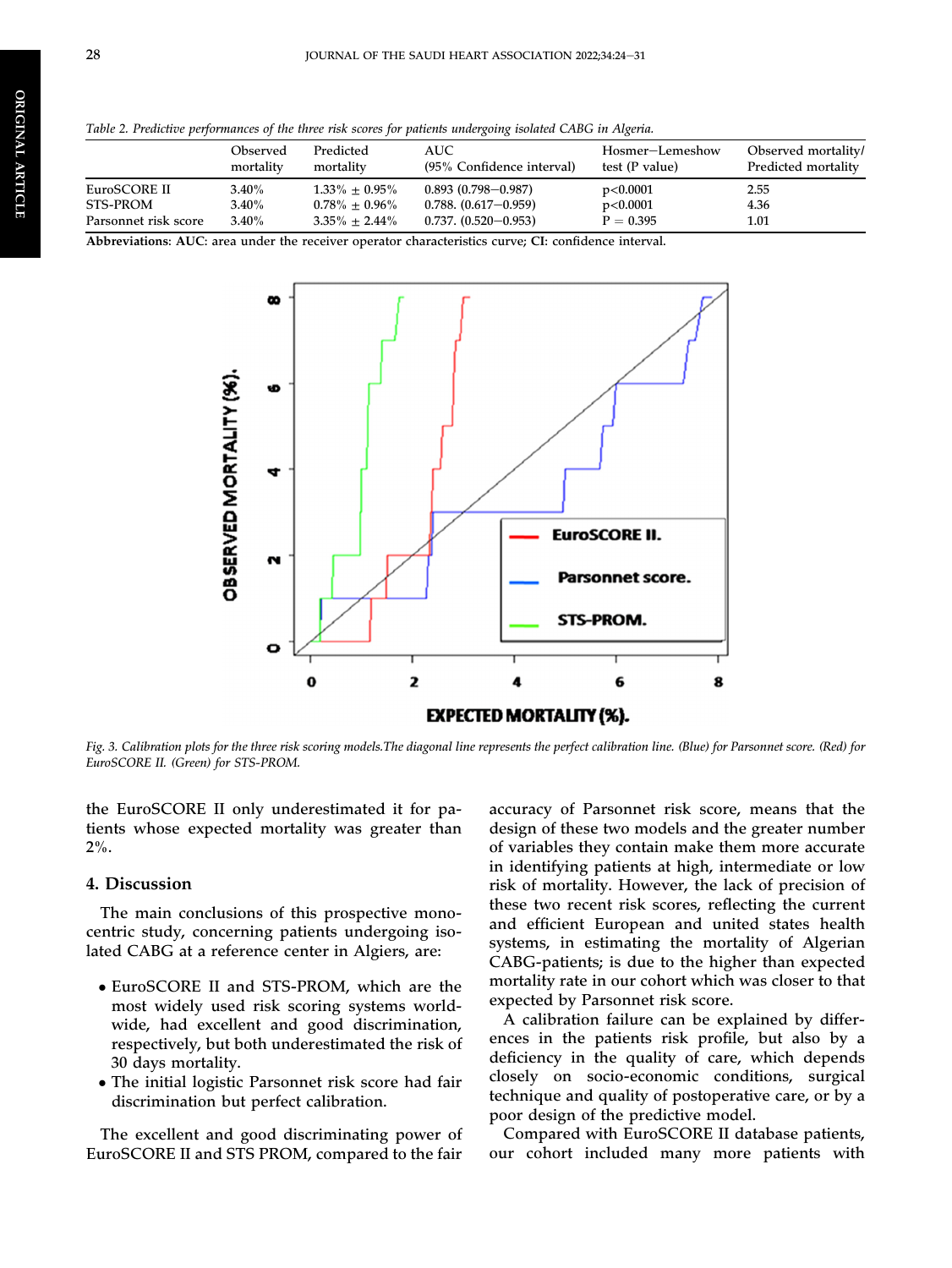<span id="page-5-0"></span>Table 2. Predictive performances of the three risk scores for patients undergoing isolated CABG in Algeria.

|                      | Observed<br>mortality | Predicted<br>mortality | AUC-<br>(95% Confidence interval) | Hosmer-Lemeshow<br>test (P value) | Observed mortality/<br>Predicted mortality |
|----------------------|-----------------------|------------------------|-----------------------------------|-----------------------------------|--------------------------------------------|
| EuroSCORE II         | $3.40\%$              | $1.33\% \pm 0.95\%$    | $0.893(0.798 - 0.987)$            | p<0.0001                          | 2.55                                       |
| STS-PROM             | $3.40\%$              | $0.78\% \pm 0.96\%$    | $0.788. (0.617 - 0.959)$          | p<0.0001                          | 4.36                                       |
| Parsonnet risk score | $3.40\%$              | $3.35\% \pm 2.44\%$    | $0.737. (0.520 - 0.953)$          | $P = 0.395$                       | 1.01                                       |

<span id="page-5-1"></span>Abbreviations: AUC: area under the receiver operator characteristics curve; CI: confidence interval.



Fig. 3. Calibration plots for the three risk scoring models.The diagonal line represents the perfect calibration line. (Blue) for Parsonnet score. (Red) for EuroSCORE II. (Green) for STS-PROM.

the EuroSCORE II only underestimated it for patients whose expected mortality was greater than 2%.

## 4. Discussion

The main conclusions of this prospective monocentric study, concerning patients undergoing isolated CABG at a reference center in Algiers, are:

- EuroSCORE II and STS-PROM, which are the most widely used risk scoring systems worldwide, had excellent and good discrimination, respectively, but both underestimated the risk of 30 days mortality.
- The initial logistic Parsonnet risk score had fair discrimination but perfect calibration.

The excellent and good discriminating power of EuroSCORE II and STS PROM, compared to the fair

accuracy of Parsonnet risk score, means that the design of these two models and the greater number of variables they contain make them more accurate in identifying patients at high, intermediate or low risk of mortality. However, the lack of precision of these two recent risk scores, reflecting the current and efficient European and united states health systems, in estimating the mortality of Algerian CABG-patients; is due to the higher than expected mortality rate in our cohort which was closer to that expected by Parsonnet risk score.

A calibration failure can be explained by differences in the patients risk profile, but also by a deficiency in the quality of care, which depends closely on socio-economic conditions, surgical technique and quality of postoperative care, or by a poor design of the predictive model.

Compared with EuroSCORE II database patients, our cohort included many more patients with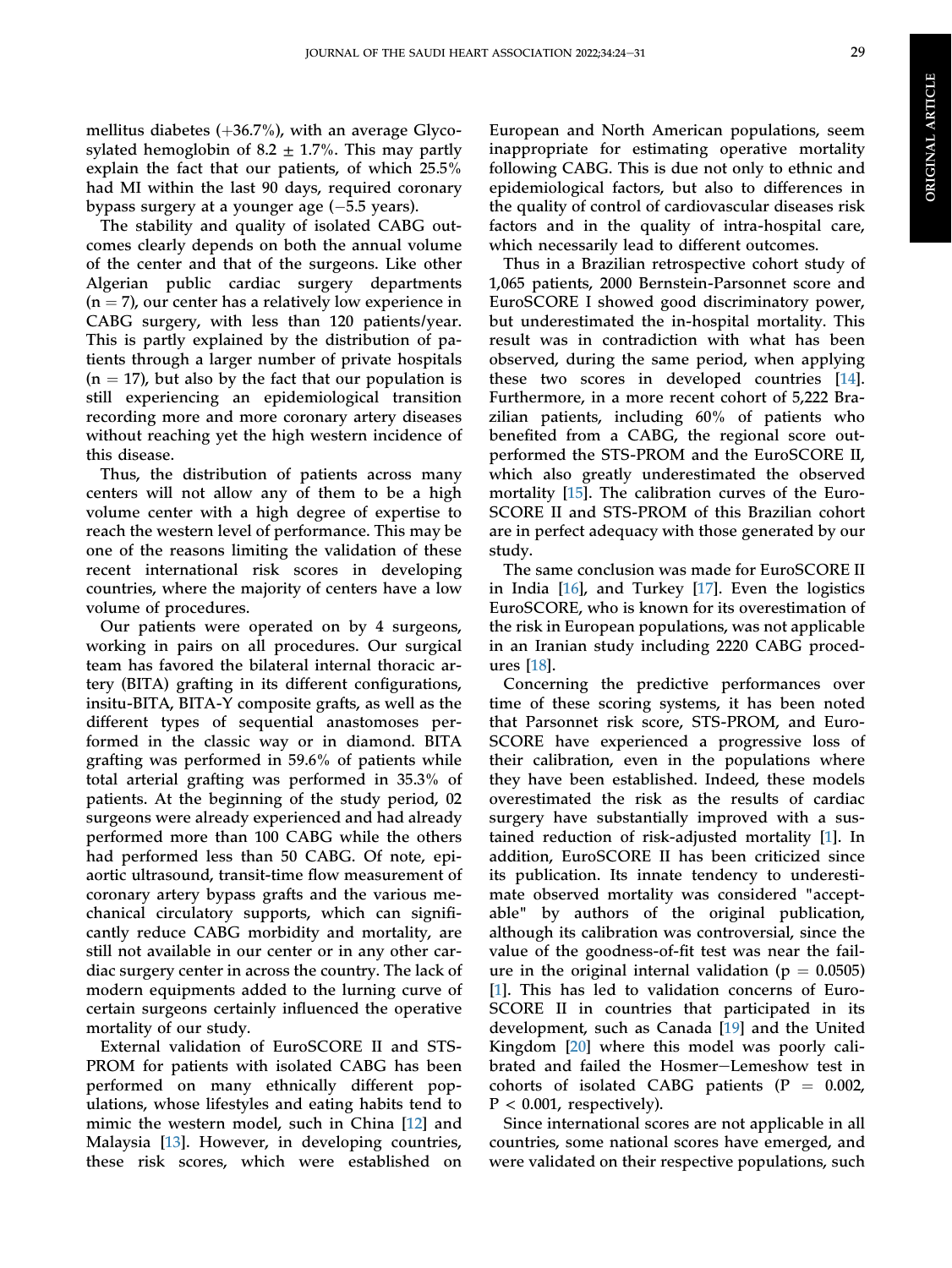mellitus diabetes  $(+36.7%)$ , with an average Glycosylated hemoglobin of 8.2  $\pm$  1.7%. This may partly explain the fact that our patients, of which 25.5% had MI within the last 90 days, required coronary bypass surgery at a younger age (-5.5 years).

The stability and quality of isolated CABG outcomes clearly depends on both the annual volume of the center and that of the surgeons. Like other Algerian public cardiac surgery departments  $(n = 7)$ , our center has a relatively low experience in CABG surgery, with less than 120 patients/year. This is partly explained by the distribution of patients through a larger number of private hospitals  $(n = 17)$ , but also by the fact that our population is still experiencing an epidemiological transition recording more and more coronary artery diseases without reaching yet the high western incidence of this disease.

Thus, the distribution of patients across many centers will not allow any of them to be a high volume center with a high degree of expertise to reach the western level of performance. This may be one of the reasons limiting the validation of these recent international risk scores in developing countries, where the majority of centers have a low volume of procedures.

Our patients were operated on by 4 surgeons, working in pairs on all procedures. Our surgical team has favored the bilateral internal thoracic artery (BITA) grafting in its different configurations, insitu-BITA, BITA-Y composite grafts, as well as the different types of sequential anastomoses performed in the classic way or in diamond. BITA grafting was performed in 59.6% of patients while total arterial grafting was performed in 35.3% of patients. At the beginning of the study period, 02 surgeons were already experienced and had already performed more than 100 CABG while the others had performed less than 50 CABG. Of note, epiaortic ultrasound, transit-time flow measurement of coronary artery bypass grafts and the various mechanical circulatory supports, which can significantly reduce CABG morbidity and mortality, are still not available in our center or in any other cardiac surgery center in across the country. The lack of modern equipments added to the lurning curve of certain surgeons certainly influenced the operative mortality of our study.

External validation of EuroSCORE II and STS-PROM for patients with isolated CABG has been performed on many ethnically different populations, whose lifestyles and eating habits tend to mimic the western model, such in China [\[12](#page-7-9)] and Malaysia [\[13](#page-7-10)]. However, in developing countries, these risk scores, which were established on

European and North American populations, seem inappropriate for estimating operative mortality following CABG. This is due not only to ethnic and epidemiological factors, but also to differences in the quality of control of cardiovascular diseases risk factors and in the quality of intra-hospital care, which necessarily lead to different outcomes.

Thus in a Brazilian retrospective cohort study of 1,065 patients, 2000 Bernstein-Parsonnet score and EuroSCORE I showed good discriminatory power, but underestimated the in-hospital mortality. This result was in contradiction with what has been observed, during the same period, when applying these two scores in developed countries [[14\]](#page-7-11). Furthermore, in a more recent cohort of 5,222 Brazilian patients, including 60% of patients who benefited from a CABG, the regional score outperformed the STS-PROM and the EuroSCORE II, which also greatly underestimated the observed mortality [\[15](#page-7-12)]. The calibration curves of the Euro-SCORE II and STS-PROM of this Brazilian cohort are in perfect adequacy with those generated by our study.

The same conclusion was made for EuroSCORE II in India [\[16](#page-7-13)], and Turkey [[17\]](#page-8-0). Even the logistics EuroSCORE, who is known for its overestimation of the risk in European populations, was not applicable in an Iranian study including 2220 CABG procedures [\[18](#page-8-1)].

Concerning the predictive performances over time of these scoring systems, it has been noted that Parsonnet risk score, STS-PROM, and Euro-SCORE have experienced a progressive loss of their calibration, even in the populations where they have been established. Indeed, these models overestimated the risk as the results of cardiac surgery have substantially improved with a sustained reduction of risk-adjusted mortality [\[1](#page-7-0)]. In addition, EuroSCORE II has been criticized since its publication. Its innate tendency to underestimate observed mortality was considered "acceptable" by authors of the original publication, although its calibration was controversial, since the value of the goodness-of-fit test was near the failure in the original internal validation ( $p = 0.0505$ ) [\[1](#page-7-0)]. This has led to validation concerns of Euro-SCORE II in countries that participated in its development, such as Canada [\[19](#page-8-2)] and the United Kingdom [[20\]](#page-8-3) where this model was poorly calibrated and failed the Hosmer-Lemeshow test in cohorts of isolated CABG patients  $(P = 0.002,$  $P < 0.001$ , respectively).

Since international scores are not applicable in all countries, some national scores have emerged, and were validated on their respective populations, such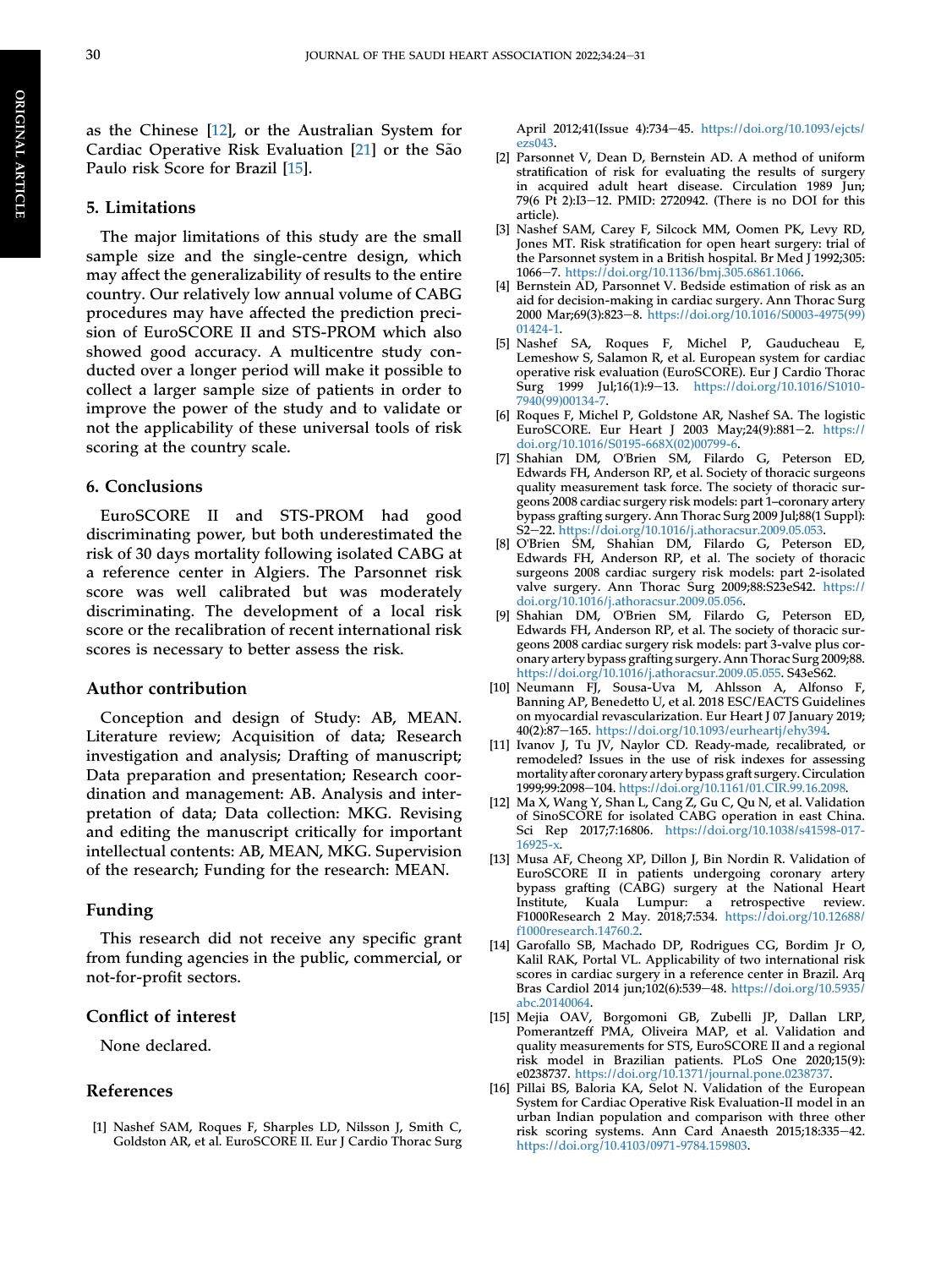ORIGINAL

**ORIGINAL ARTICLE** 

ARTICLE

as the Chinese [\[12](#page-7-9)], or the Australian System for Cardiac Operative Risk Evaluation [[21](#page-8-4)] or the São Paulo risk Score for Brazil [[15\]](#page-7-12).

## 5. Limitations

The major limitations of this study are the small sample size and the single-centre design, which may affect the generalizability of results to the entire country. Our relatively low annual volume of CABG procedures may have affected the prediction precision of EuroSCORE II and STS-PROM which also showed good accuracy. A multicentre study conducted over a longer period will make it possible to collect a larger sample size of patients in order to improve the power of the study and to validate or not the applicability of these universal tools of risk scoring at the country scale.

## 6. Conclusions

EuroSCORE II and STS-PROM had good discriminating power, but both underestimated the risk of 30 days mortality following isolated CABG at a reference center in Algiers. The Parsonnet risk score was well calibrated but was moderately discriminating. The development of a local risk score or the recalibration of recent international risk scores is necessary to better assess the risk.

#### Author contribution

Conception and design of Study: AB, MEAN. Literature review; Acquisition of data; Research investigation and analysis; Drafting of manuscript; Data preparation and presentation; Research coordination and management: AB. Analysis and interpretation of data; Data collection: MKG. Revising and editing the manuscript critically for important intellectual contents: AB, MEAN, MKG. Supervision of the research; Funding for the research: MEAN.

## Funding

This research did not receive any specific grant from funding agencies in the public, commercial, or not-for-profit sectors.

#### Conflict of interest

None declared.

## References

<span id="page-7-0"></span>[1] Nashef SAM, Roques F, Sharples LD, Nilsson J, Smith C, Goldston AR, et al. EuroSCORE II. Eur J Cardio Thorac Surg April 2012;41(Issue 4):734-45. [https://doi.org/10.1093/ejcts/](https://doi.org/10.1093/ejcts/ezs043) [ezs043](https://doi.org/10.1093/ejcts/ezs043).

- <span id="page-7-1"></span>[2] Parsonnet V, Dean D, Bernstein AD. A method of uniform stratification of risk for evaluating the results of surgery in acquired adult heart disease. Circulation 1989 Jun; 79(6 Pt 2):I3–12. PMID: 2720942. (There is no DOI for this article).
- <span id="page-7-2"></span>[3] Nashef SAM, Carey F, Silcock MM, Oomen PK, Levy RD, Jones MT. Risk stratification for open heart surgery: trial of the Parsonnet system in a British hospital. Br Med J 1992;305: 1066e7. <https://doi.org/10.1136/bmj.305.6861.1066>.
- <span id="page-7-3"></span>[4] Bernstein AD, Parsonnet V. Bedside estimation of risk as an aid for decision-making in cardiac surgery. Ann Thorac Surg 2000 Mar;69(3):823-8. [https://doi.org/10.1016/S0003-4975\(99\)](https://doi.org/10.1016/S0003-4975(99)01424-1) [01424-1](https://doi.org/10.1016/S0003-4975(99)01424-1).
- <span id="page-7-4"></span>[5] Nashef SA, Roques F, Michel P, Gauducheau E, Lemeshow S, Salamon R, et al. European system for cardiac operative risk evaluation (EuroSCORE). Eur J Cardio Thorac Surg 1999 Jul;16(1):9-13. [https://doi.org/10.1016/S1010-](https://doi.org/10.1016/S1010-7940(99)00134-7) [7940\(99\)00134-7](https://doi.org/10.1016/S1010-7940(99)00134-7).
- <span id="page-7-5"></span>[6] Roques F, Michel P, Goldstone AR, Nashef SA. The logistic EuroSCORE. Eur Heart J 2003 May;24(9):881-2. [https://](https://doi.org/10.1016/S0195-668X(02)00799-6) [doi.org/10.1016/S0195-668X\(02\)00799-6](https://doi.org/10.1016/S0195-668X(02)00799-6).
- <span id="page-7-6"></span>[7] Shahian DM, O'Brien SM, Filardo G, Peterson ED, Edwards FH, Anderson RP, et al. Society of thoracic surgeons quality measurement task force. The society of thoracic surgeons 2008 cardiac surgery risk models: part 1–coronary artery bypass grafting surgery. Ann Thorac Surg 2009 Jul;88(1 Suppl): S2-22. <https://doi.org/10.1016/j.athoracsur.2009.05.053>.
- [8] O'Brien SM, Shahian DM, Filardo G, Peterson ED, Edwards FH, Anderson RP, et al. The society of thoracic surgeons 2008 cardiac surgery risk models: part 2-isolated valve surgery. Ann Thorac Surg 2009;88:S23eS42. [https://](https://doi.org/10.1016/j.athoracsur.2009.05.056) [doi.org/10.1016/j.athoracsur.2009.05.056.](https://doi.org/10.1016/j.athoracsur.2009.05.056)
- [9] Shahian DM, O'Brien SM, Filardo G, Peterson ED, Edwards FH, Anderson RP, et al. The society of thoracic surgeons 2008 cardiac surgery risk models: part 3-valve plus coronary artery bypass grafting surgery. Ann Thorac Surg 2009;88. [https://doi.org/10.1016/j.athoracsur.2009.05.055.](https://doi.org/10.1016/j.athoracsur.2009.05.055) S43eS62.
- <span id="page-7-7"></span>[10] Neumann FJ, Sousa-Uva M, Ahlsson A, Alfonso F, Banning AP, Benedetto U, et al. 2018 ESC/EACTS Guidelines on myocardial revascularization. Eur Heart J 07 January 2019; 40(2):87-165. <https://doi.org/10.1093/eurheartj/ehy394>.
- <span id="page-7-8"></span>[11] Ivanov J, Tu JV, Naylor CD. Ready-made, recalibrated, or remodeled? Issues in the use of risk indexes for assessing mortality after coronary artery bypass graft surgery. Circulation 1999;99:2098-104. <https://doi.org/10.1161/01.CIR.99.16.2098>.
- <span id="page-7-9"></span>[12] Ma X, Wang Y, Shan L, Cang Z, Gu C, Qu N, et al. Validation of SinoSCORE for isolated CABG operation in east China. Sci Rep 2017;7:16806. [https://doi.org/10.1038/s41598-017-](https://doi.org/10.1038/s41598-017-16925-x) [16925-x](https://doi.org/10.1038/s41598-017-16925-x).
- <span id="page-7-10"></span>[13] Musa AF, Cheong XP, Dillon J, Bin Nordin R. Validation of EuroSCORE II in patients undergoing coronary artery bypass grafting (CABG) surgery at the National Heart Institute, Kuala Lumpur: a retrospective review. F1000Research 2 May. 2018;7:534. [https://doi.org/10.12688/](https://doi.org/10.12688/f1000research.14760.2) [f1000research.14760.2](https://doi.org/10.12688/f1000research.14760.2).
- <span id="page-7-11"></span>[14] Garofallo SB, Machado DP, Rodrigues CG, Bordim Jr O, Kalil RAK, Portal VL. Applicability of two international risk scores in cardiac surgery in a reference center in Brazil. Arq Bras Cardiol 2014 jun;102(6):539-48. [https://doi.org/10.5935/](https://doi.org/10.5935/abc.20140064) [abc.20140064](https://doi.org/10.5935/abc.20140064).
- <span id="page-7-12"></span>[15] Mejia OAV, Borgomoni GB, Zubelli JP, Dallan LRP, Pomerantzeff PMA, Oliveira MAP, et al. Validation and quality measurements for STS, EuroSCORE II and a regional risk model in Brazilian patients. PLoS One 2020;15(9): e0238737. <https://doi.org/10.1371/journal.pone.0238737>.
- <span id="page-7-13"></span>[16] Pillai BS, Baloria KA, Selot N. Validation of the European System for Cardiac Operative Risk Evaluation-II model in an urban Indian population and comparison with three other risk scoring systems. Ann Card Anaesth 2015;18:335-42. [https://doi.org/10.4103/0971-9784.159803.](https://doi.org/10.4103/0971-9784.159803)